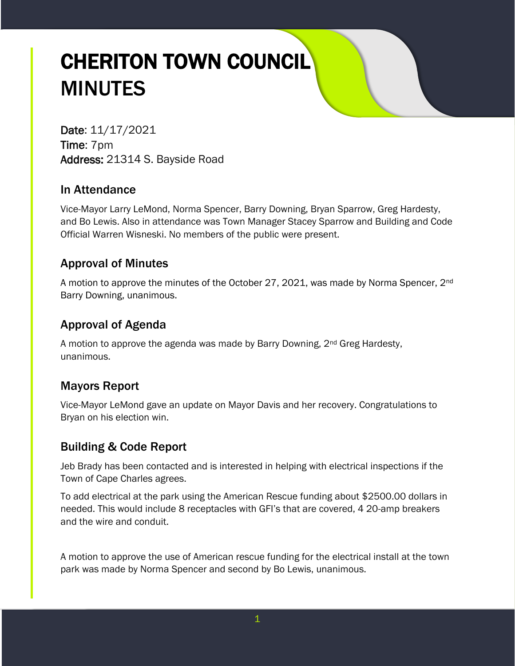# CHERITON TOWN COUNCIL MINUTES

Date: 11/17/2021 Time: 7pm Address: 21314 S. Bayside Road

# In Attendance

Vice-Mayor Larry LeMond, Norma Spencer, Barry Downing, Bryan Sparrow, Greg Hardesty, and Bo Lewis. Also in attendance was Town Manager Stacey Sparrow and Building and Code Official Warren Wisneski. No members of the public were present.

# Approval of Minutes

A motion to approve the minutes of the October 27, 2021, was made by Norma Spencer, 2<sup>nd</sup> Barry Downing, unanimous.

# Approval of Agenda

A motion to approve the agenda was made by Barry Downing,  $2<sup>nd</sup> Greg$  Hardesty, unanimous.

# Mayors Report

Vice-Mayor LeMond gave an update on Mayor Davis and her recovery. Congratulations to Bryan on his election win.

# Building & Code Report

Jeb Brady has been contacted and is interested in helping with electrical inspections if the Town of Cape Charles agrees.

To add electrical at the park using the American Rescue funding about \$2500.00 dollars in needed. This would include 8 receptacles with GFI's that are covered, 4 20-amp breakers and the wire and conduit.

A motion to approve the use of American rescue funding for the electrical install at the town park was made by Norma Spencer and second by Bo Lewis, unanimous.